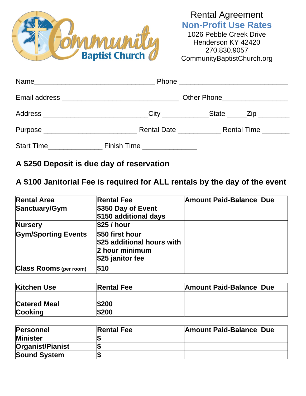

1026 Pebble Creek Drive Henderson KY 42420 270.830.9057 CommunityBaptistChurch.org

|            | Address ______________________________City ______________State ______Zip ________ |  |  |  |
|------------|-----------------------------------------------------------------------------------|--|--|--|
|            |                                                                                   |  |  |  |
| Start Time | Finish Time ________________                                                      |  |  |  |

## **A \$250 Deposit is due day of reservation**

## **A \$100 Janitorial Fee is required for ALL rentals by the day of the event**

| <b>Rental Area</b>            | <b>Rental Fee</b>          | <b>Amount Paid-Balance Due</b> |
|-------------------------------|----------------------------|--------------------------------|
| Sanctuary/Gym                 | \$350 Day of Event         |                                |
|                               | \$150 additional days      |                                |
| Nursery                       | \$25 / hour                |                                |
| <b>Gym/Sporting Events</b>    | \$50 first hour            |                                |
|                               | \$25 additional hours with |                                |
|                               | 2 hour minimum             |                                |
|                               | \$25 janitor fee           |                                |
| <b>Class Rooms</b> (per room) | \$10                       |                                |

| <b>Kitchen Use</b>  | <b>Rental Fee</b> | <b>Amount Paid-Balance Due</b> |
|---------------------|-------------------|--------------------------------|
|                     |                   |                                |
| <b>Catered Meal</b> | \$200             |                                |
| <b>Cooking</b>      | \$200             |                                |

| <b>Personnel</b>    | <b>Rental Fee</b> | <b>Amount Paid-Balance Due</b> |
|---------------------|-------------------|--------------------------------|
| <b>Minister</b>     |                   |                                |
| Organist/Pianist    |                   |                                |
| <b>Sound System</b> |                   |                                |